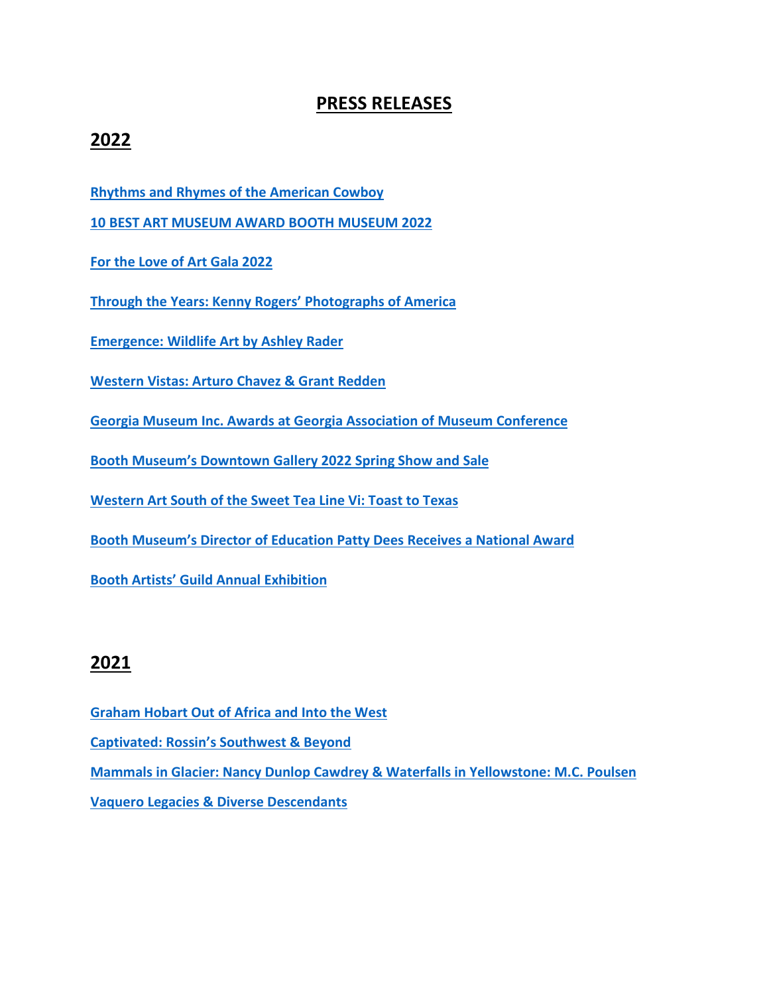# **PRESS RELEASES**

# **2022**

**[Rhythms and Rhymes of the American Cowboy](https://online.pubhtml5.com/dujs/nrxo/#p=1)**

**[10 BEST ART MUSEUM AWARD BOOTH MUSEUM 2022](https://online.pubhtml5.com/dujs/qvfe/)**

**[For the Love of Art Gala 2022](https://online.pubhtml5.com/dujs/qsik/)**

**[Through the Years: Kenny Rogers' Photographs of America](https://online.pubhtml5.com/dujs/lwxm/)**

**[Emergence: Wildlife Art by Ashley Rader](https://online.pubhtml5.com/dujs/arbw/)**

**[Western Vistas: Arturo Chavez & Grant Redden](https://online.pubhtml5.com/dujs/ebty/)**

**[Georgia Museum Inc. Awards at Georgia Association of Museum](https://online.pubhtml5.com/dujs/jfws/) Conference**

**[Booth Museum's Downtown Gallery 2022 Spring Show and Sale](https://online.pubhtml5.com/dujs/eqtw/)**

**[Western Art South of the Sweet Tea Line Vi: Toast to Texas](https://online.pubhtml5.com/dujs/klwu/)**

**[Booth Museum's Director of Education Patty Dees Receives a National Award](https://online.pubhtml5.com/dujs/iytg/)**

**[Booth Artists' Guild Annual Exhibition](https://online.pubhtml5.com/dujs/owql/)**

### **2021**

- **[Graham Hobart Out of Africa and Into the West](https://online.pubhtml5.com/dujs/pwnj/)**
- **[Captivated: Rossin's Southwest & Beyond](https://online.pubhtml5.com/dujs/eiug/)**

**Mammals in Glacier: Nancy Dunlop Cawdrey & Waterfalls in [Yellowstone:](https://online.pubhtml5.com/dujs/dhgy/) M.C. Poulsen**

**Vaquero Legacies & Diverse [Descendants](https://online.pubhtml5.com/dujs/jejp/)**